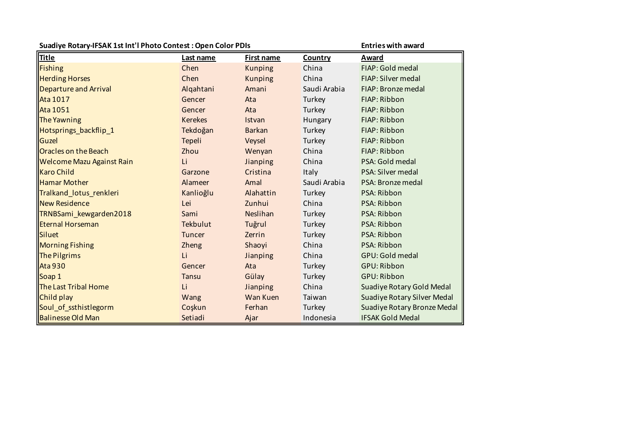| Suadiye Rotary-IFSAK 1st Int'l Photo Contest: Open Color PDIs |                |                | <b>Entries with award</b> |                                  |
|---------------------------------------------------------------|----------------|----------------|---------------------------|----------------------------------|
| <b>Title</b>                                                  | Last name      | First name     | Country                   | Award                            |
| <b>Fishing</b>                                                | Chen           | <b>Kunping</b> | China                     | FIAP: Gold medal                 |
| <b>Herding Horses</b>                                         | Chen           | <b>Kunping</b> | China                     | FIAP: Silver medal               |
| Departure and Arrival                                         | Algahtani      | Amani          | Saudi Arabia              | FIAP: Bronze medal               |
| <b>Ata 1017</b>                                               | Gencer         | Ata            | Turkey                    | FIAP: Ribbon                     |
| <b>Ata 1051</b>                                               | Gencer         | Ata            | Turkey                    | FIAP: Ribbon                     |
| The Yawning                                                   | <b>Kerekes</b> | Istvan         | Hungary                   | FIAP: Ribbon                     |
| Hotsprings_backflip_1                                         | Tekdoğan       | <b>Barkan</b>  | Turkey                    | FIAP: Ribbon                     |
| Guzel                                                         | Tepeli         | Veysel         | Turkey                    | FIAP: Ribbon                     |
| <b>Oracles on the Beach</b>                                   | Zhou           | Wenyan         | China                     | FIAP: Ribbon                     |
| <b>Welcome Mazu Against Rain</b>                              | Li             | Jianping       | China                     | PSA: Gold medal                  |
| <b>Karo Child</b>                                             | Garzone        | Cristina       | Italy                     | PSA: Silver medal                |
| <b>Hamar Mother</b>                                           | Alameer        | Amal           | Saudi Arabia              | PSA: Bronze medal                |
| Tralkand lotus renkleri                                       | Kanlioğlu      | Alahattin      | Turkey                    | PSA: Ribbon                      |
| <b>New Residence</b>                                          | Lei            | Zunhui         | China                     | PSA: Ribbon                      |
| TRNBSami_kewgarden2018                                        | Sami           | Neslihan       | Turkey                    | PSA: Ribbon                      |
| <b>Eternal Horseman</b>                                       | Tekbulut       | Tuğrul         | Turkey                    | PSA: Ribbon                      |
| Siluet                                                        | <b>Tuncer</b>  | Zerrin         | Turkey                    | PSA: Ribbon                      |
| <b>Morning Fishing</b>                                        | <b>Zheng</b>   | Shaoyi         | China                     | PSA: Ribbon                      |
| The Pilgrims                                                  | Li             | Jianping       | China                     | GPU: Gold medal                  |
| <b>Ata 930</b>                                                | Gencer         | Ata            | Turkey                    | GPU: Ribbon                      |
| Soap 1                                                        | <b>Tansu</b>   | Gülay          | Turkey                    | <b>GPU: Ribbon</b>               |
| <b>The Last Tribal Home</b>                                   | Li             | Jianping       | China                     | <b>Suadiye Rotary Gold Medal</b> |
| Child play                                                    | Wang           | Wan Kuen       | Taiwan                    | Suadiye Rotary Silver Medal      |
| Soul_of_ssthistlegorm                                         | Coşkun         | Ferhan         | Turkey                    | Suadiye Rotary Bronze Medal      |
| <b>Balinesse Old Man</b>                                      | Setiadi        | Ajar           | Indonesia                 | <b>IFSAK Gold Medal</b>          |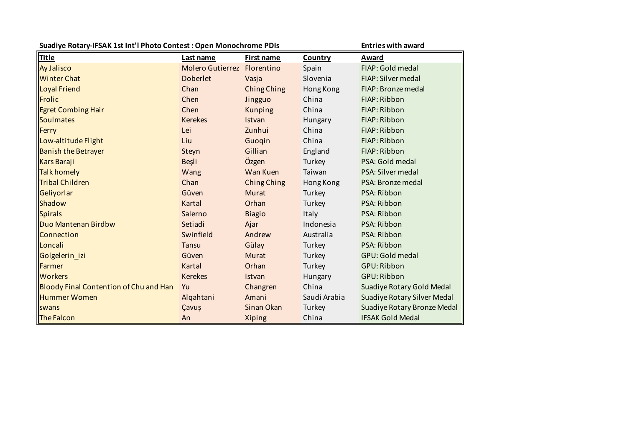| Suadiye Rotary-IFSAK 1st Int'l Photo Contest: Open Monochrome PDIs |                             |                   | <b>Entries with award</b> |                             |
|--------------------------------------------------------------------|-----------------------------|-------------------|---------------------------|-----------------------------|
| <b>Title</b>                                                       | Last name                   | <b>First name</b> | Country                   | Award                       |
| <b>Ay Jalisco</b>                                                  | Molero Gutierrez Florentino |                   | Spain                     | FIAP: Gold medal            |
| <b>Winter Chat</b>                                                 | <b>Doberlet</b>             | Vasja             | Slovenia                  | FIAP: Silver medal          |
| <b>Loyal Friend</b>                                                | Chan                        | Ching Ching       | Hong Kong                 | FIAP: Bronze medal          |
| Frolic                                                             | Chen                        | Jingguo           | China                     | FIAP: Ribbon                |
| <b>Egret Combing Hair</b>                                          | Chen                        | <b>Kunping</b>    | China                     | FIAP: Ribbon                |
| Soulmates                                                          | <b>Kerekes</b>              | <b>Istvan</b>     | Hungary                   | FIAP: Ribbon                |
| Ferry                                                              | Lei                         | Zunhui            | China                     | FIAP: Ribbon                |
| Low-altitude Flight                                                | Liu                         | Guogin            | China                     | FIAP: Ribbon                |
| <b>Banish the Betrayer</b>                                         | Steyn                       | Gillian           | England                   | FIAP: Ribbon                |
| <b>Kars Baraji</b>                                                 | Beşli                       | Özgen             | Turkey                    | PSA: Gold medal             |
| Talk homely                                                        | Wang                        | Wan Kuen          | Taiwan                    | PSA: Silver medal           |
| <b>Tribal Children</b>                                             | Chan                        | Ching Ching       | Hong Kong                 | PSA: Bronze medal           |
| Geliyorlar                                                         | Güven                       | <b>Murat</b>      | Turkey                    | PSA: Ribbon                 |
| Shadow                                                             | Kartal                      | Orhan             | Turkey                    | PSA: Ribbon                 |
| Spirals                                                            | Salerno                     | <b>Biagio</b>     | Italy                     | PSA: Ribbon                 |
| Duo Mantenan Birdbw                                                | Setiadi                     | Ajar              | Indonesia                 | PSA: Ribbon                 |
| Connection                                                         | Swinfield                   | Andrew            | Australia                 | PSA: Ribbon                 |
| Loncali                                                            | <b>Tansu</b>                | Gülay             | Turkey                    | PSA: Ribbon                 |
| Golgelerin_izi                                                     | Güven                       | <b>Murat</b>      | Turkey                    | GPU: Gold medal             |
| Farmer                                                             | Kartal                      | Orhan             | Turkey                    | GPU: Ribbon                 |
| <b>Workers</b>                                                     | <b>Kerekes</b>              | Istvan            | Hungary                   | <b>GPU: Ribbon</b>          |
| <b>Bloody Final Contention of Chu and Han</b>                      | Yu                          | Changren          | China                     | Suadiye Rotary Gold Medal   |
| <b>Hummer Women</b>                                                | Algahtani                   | Amani             | Saudi Arabia              | Suadiye Rotary Silver Medal |
| <b>swans</b>                                                       | Çavuş                       | Sinan Okan        | Turkey                    | Suadiye Rotary Bronze Medal |
| The Falcon                                                         | An                          | Xiping            | China                     | <b>IFSAK Gold Medal</b>     |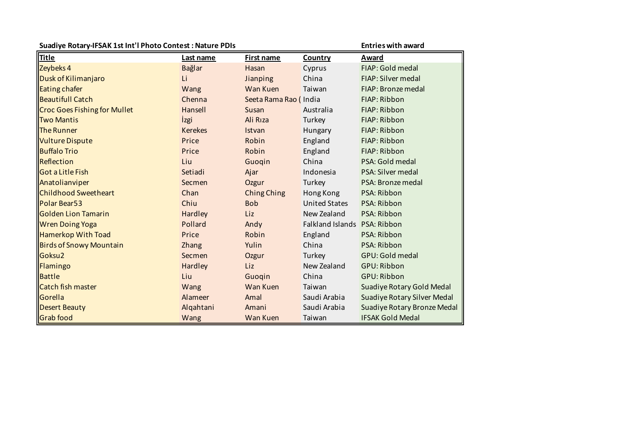| Suadiye Rotary-IFSAK 1st Int'l Photo Contest: Nature PDIs | <b>Entries with award</b> |                       |                              |                             |
|-----------------------------------------------------------|---------------------------|-----------------------|------------------------------|-----------------------------|
| <b>Title</b>                                              | Last name                 | First name            | Country                      | Award                       |
| Zeybeks 4                                                 | <b>Bağlar</b>             | Hasan                 | Cyprus                       | FIAP: Gold medal            |
| Dusk of Kilimanjaro                                       | Li                        | Jianping              | China                        | FIAP: Silver medal          |
| <b>Eating chafer</b>                                      | Wang                      | Wan Kuen              | Taiwan                       | FIAP: Bronze medal          |
| <b>Beautifull Catch</b>                                   | Chenna                    | Seeta Rama Rao (India |                              | FIAP: Ribbon                |
| <b>Croc Goes Fishing for Mullet</b>                       | Hansell                   | Susan                 | Australia                    | FIAP: Ribbon                |
| <b>Two Mantis</b>                                         | <i>izgi</i>               | Ali Rıza              | Turkey                       | FIAP: Ribbon                |
| <b>The Runner</b>                                         | <b>Kerekes</b>            | Istvan                | Hungary                      | FIAP: Ribbon                |
| <b>Vulture Dispute</b>                                    | Price                     | Robin                 | England                      | FIAP: Ribbon                |
| <b>Buffalo Trio</b>                                       | Price                     | Robin                 | England                      | FIAP: Ribbon                |
| Reflection                                                | Liu                       | Guogin                | China                        | PSA: Gold medal             |
| <b>Got a Litle Fish</b>                                   | Setiadi                   | Ajar                  | Indonesia                    | PSA: Silver medal           |
| Anatolianviper                                            | Secmen                    | Ozgur                 | Turkey                       | PSA: Bronze medal           |
| <b>Childhood Sweetheart</b>                               | Chan                      | <b>Ching Ching</b>    | Hong Kong                    | PSA: Ribbon                 |
| Polar Bear53                                              | Chiu                      | <b>Bob</b>            | <b>United States</b>         | PSA: Ribbon                 |
| <b>Golden Lion Tamarin</b>                                | Hardley                   | Liz                   | New Zealand                  | PSA: Ribbon                 |
| <b>Wren Doing Yoga</b>                                    | Pollard                   | Andy                  | Falkland Islands PSA: Ribbon |                             |
| <b>Hamerkop With Toad</b>                                 | Price                     | Robin                 | England                      | PSA: Ribbon                 |
| <b>Birds of Snowy Mountain</b>                            | <b>Zhang</b>              | Yulin                 | China                        | PSA: Ribbon                 |
| Goksu <sub>2</sub>                                        | Secmen                    | Ozgur                 | Turkey                       | GPU: Gold medal             |
| Flamingo                                                  | Hardley                   | Liz                   | New Zealand                  | GPU: Ribbon                 |
| <b>Battle</b>                                             | Liu                       | Guogin                | China                        | GPU: Ribbon                 |
| <b>Catch fish master</b>                                  | Wang                      | Wan Kuen              | Taiwan                       | Suadiye Rotary Gold Medal   |
| Gorella                                                   | Alameer                   | Amal                  | Saudi Arabia                 | Suadiye Rotary Silver Medal |
| <b>Desert Beauty</b>                                      | Algahtani                 | Amani                 | Saudi Arabia                 | Suadiye Rotary Bronze Medal |
| <b>Grab</b> food                                          | Wang                      | Wan Kuen              | Taiwan                       | <b>IFSAK Gold Medal</b>     |